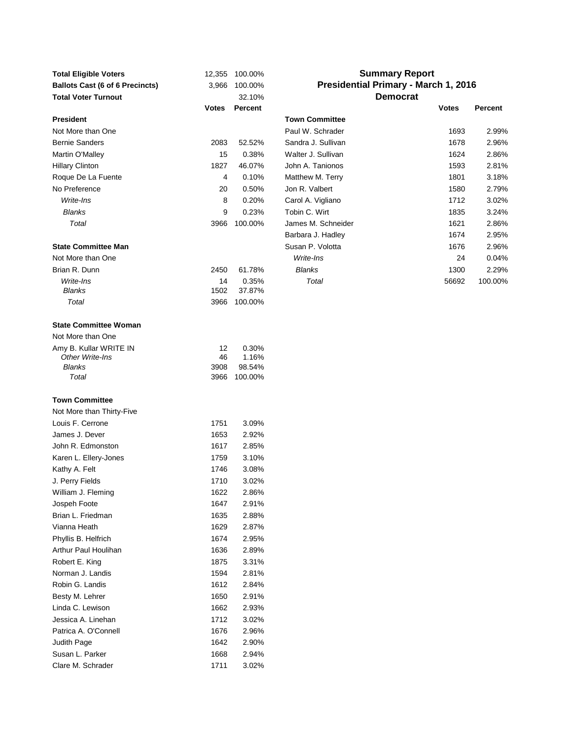| <b>Total Eligible Voters</b>           | 12,355       | 100.00% |                       | <b>Summary Report</b>                       |                |
|----------------------------------------|--------------|---------|-----------------------|---------------------------------------------|----------------|
| <b>Ballots Cast (6 of 6 Precincts)</b> | 3,966        | 100.00% |                       | <b>Presidential Primary - March 1, 2016</b> |                |
| <b>Total Voter Turnout</b>             |              | 32.10%  |                       | <b>Democrat</b>                             |                |
|                                        | <b>Votes</b> | Percent |                       | <b>Votes</b>                                | <b>Percent</b> |
| <b>President</b>                       |              |         | <b>Town Committee</b> |                                             |                |
| Not More than One                      |              |         | Paul W. Schrader      | 1693                                        | 2.99%          |
| <b>Bernie Sanders</b>                  | 2083         | 52.52%  | Sandra J. Sullivan    | 1678                                        | 2.96%          |
| Martin O'Malley                        | 15           | 0.38%   | Walter J. Sullivan    | 1624                                        | 2.86%          |
| <b>Hillary Clinton</b>                 | 1827         | 46.07%  | John A. Tanionos      | 1593                                        | 2.81%          |
| Roque De La Fuente                     | 4            | 0.10%   | Matthew M. Terry      | 1801                                        | 3.18%          |
| No Preference                          | 20           | 0.50%   | Jon R. Valbert        | 1580                                        | 2.79%          |
| Write-Ins                              | 8            | 0.20%   | Carol A. Vigliano     | 1712                                        | 3.02%          |
| <b>Blanks</b>                          | 9            | 0.23%   | Tobin C. Wirt         | 1835                                        | 3.24%          |
| Total                                  | 3966         | 100.00% | James M. Schneider    | 1621                                        | 2.86%          |
|                                        |              |         | Barbara J. Hadley     | 1674                                        | 2.95%          |
| <b>State Committee Man</b>             |              |         | Susan P. Volotta      | 1676                                        | 2.96%          |
| Not More than One                      |              |         | Write-Ins             | 24                                          | 0.04%          |
| Brian R. Dunn                          | 2450         | 61.78%  | <b>Blanks</b>         | 1300                                        | 2.29%          |
| Write-Ins                              | 14           | 0.35%   | Total                 | 56692                                       | 100.00%        |
| <b>Blanks</b>                          | 1502         | 37.87%  |                       |                                             |                |
| Total                                  | 3966         | 100.00% |                       |                                             |                |
| <b>State Committee Woman</b>           |              |         |                       |                                             |                |
| Not More than One                      |              |         |                       |                                             |                |
| Amy B. Kullar WRITE IN                 | 12           | 0.30%   |                       |                                             |                |
| Other Write-Ins                        | 46           | 1.16%   |                       |                                             |                |
| Blanks                                 | 3908         | 98.54%  |                       |                                             |                |
| Total                                  | 3966         | 100.00% |                       |                                             |                |
| <b>Town Committee</b>                  |              |         |                       |                                             |                |
| Not More than Thirty-Five              |              |         |                       |                                             |                |
| Louis F. Cerrone                       | 1751         | 3.09%   |                       |                                             |                |
| James J. Dever                         | 1653         | 2.92%   |                       |                                             |                |
| John R. Edmonston                      | 1617         | 2.85%   |                       |                                             |                |
| Karen L. Ellery-Jones                  | 1759         | 3.10%   |                       |                                             |                |
| Kathy A. Felt                          | 1746         | 3.08%   |                       |                                             |                |
| J. Perry Fields                        | 1710         | 3.02%   |                       |                                             |                |
| William J. Fleming                     | 1622         | 2.86%   |                       |                                             |                |
| Jospeh Foote                           | 1647         | 2.91%   |                       |                                             |                |
| Brian L. Friedman                      | 1635         | 2.88%   |                       |                                             |                |
| Vianna Heath                           | 1629         | 2.87%   |                       |                                             |                |
| Phyllis B. Helfrich                    | 1674         | 2.95%   |                       |                                             |                |
| Arthur Paul Houlihan                   | 1636         | 2.89%   |                       |                                             |                |
| Robert E. King                         | 1875         | 3.31%   |                       |                                             |                |
| Norman J. Landis                       | 1594         | 2.81%   |                       |                                             |                |
| Robin G. Landis                        | 1612         | 2.84%   |                       |                                             |                |
| Besty M. Lehrer                        | 1650         | 2.91%   |                       |                                             |                |
| Linda C. Lewison                       | 1662         | 2.93%   |                       |                                             |                |
| Jessica A. Linehan                     | 1712         | 3.02%   |                       |                                             |                |
| Patrica A. O'Connell                   | 1676         | 2.96%   |                       |                                             |                |
| Judith Page                            | 1642         | 2.90%   |                       |                                             |                |
| Susan L. Parker                        | 1668         | 2.94%   |                       |                                             |                |
| Clare M. Schrader                      | 1711         | 3.02%   |                       |                                             |                |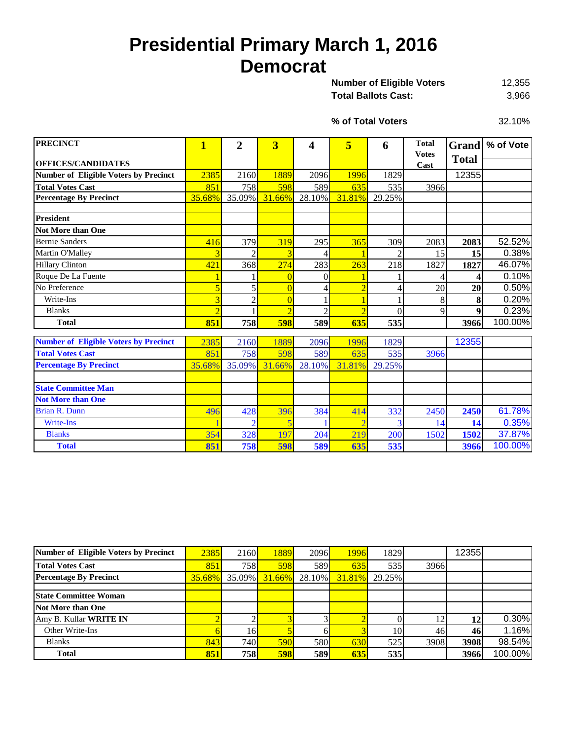# **Presidential Primary March 1, 2016 Democrat**

12,355 Total Ballots Cast: 3,966 **Number of Eligible Voters** 

**% of Total Voters**

32.10%

| <b>PRECINCT</b>                              | $\overline{\mathbf{1}}$ | $\overline{2}$ | 3              | 4              | 5              | 6              | <b>Total</b>         | <b>Grand</b> | % of Vote |
|----------------------------------------------|-------------------------|----------------|----------------|----------------|----------------|----------------|----------------------|--------------|-----------|
| <b>OFFICES/CANDIDATES</b>                    |                         |                |                |                |                |                | <b>Votes</b><br>Cast | <b>Total</b> |           |
| <b>Number of Eligible Voters by Precinct</b> | 2385                    | 2160           | 1889           | 2096           | 1996           | 1829           |                      | 12355        |           |
| <b>Total Votes Cast</b>                      | 851                     |                | 598            | 589            | 635            | 535            | 3966                 |              |           |
| <b>Percentage By Precinct</b>                | 35.68%                  | 758<br>35.09%  | 31.66%         | 28.10%         | 31.81%         | 29.25%         |                      |              |           |
|                                              |                         |                |                |                |                |                |                      |              |           |
| <b>President</b>                             |                         |                |                |                |                |                |                      |              |           |
| <b>Not More than One</b>                     |                         |                |                |                |                |                |                      |              |           |
| <b>Bernie Sanders</b>                        | 416                     | 379            | 319            | 295            | 365            | 309            | 2083                 | 2083         | 52.52%    |
| Martin O'Malley                              |                         | $\overline{2}$ | 3              |                |                | $\overline{2}$ | 15                   | 15           | 0.38%     |
| <b>Hillary Clinton</b>                       | 421                     | 368            | 274            | 283            | 263            | 218            | 1827                 | 1827         | 46.07%    |
| Roque De La Fuente                           |                         |                | $\Omega$       | $\theta$       |                |                |                      | ◢            | 0.10%     |
| No Preference                                |                         | 5              | $\overline{0}$ | 4              | $\overline{2}$ | 4              | 20                   | 20           | 0.50%     |
| Write-Ins                                    |                         | $\overline{2}$ | $\overline{0}$ |                |                |                | 8                    | 8            | 0.20%     |
| <b>Blanks</b>                                | $\overline{2}$          |                | $\overline{2}$ | $\overline{2}$ | $\overline{2}$ | $\theta$       | 9                    | 9            | 0.23%     |
| <b>Total</b>                                 | 851                     | 758            | 598            | 589            | 635            | 535            |                      | 3966         | 100.00%   |
|                                              |                         |                |                |                |                |                |                      |              |           |
| <b>Number of Eligible Voters by Precinct</b> | 2385                    | 2160           | 1889           | 2096           | 1996           | 1829           |                      | 12355        |           |
| <b>Total Votes Cast</b>                      | 851                     | 758            | 598            | 589            | 635            | 535            | 3966                 |              |           |
| <b>Percentage By Precinct</b>                | 35.68%                  | 35.09%         | 31.66%         | 28.10%         | 31.81%         | 29.25%         |                      |              |           |
|                                              |                         |                |                |                |                |                |                      |              |           |
| <b>State Committee Man</b>                   |                         |                |                |                |                |                |                      |              |           |
| <b>Not More than One</b>                     |                         |                |                |                |                |                |                      |              |           |
| <b>Brian R. Dunn</b>                         | 496                     | 428            | 396            | 384            | 414            | 332            | 2450                 | 2450         | 61.78%    |
| <b>Write-Ins</b>                             |                         | 2              | 5              |                |                | 3              | 14                   | 14           | 0.35%     |
| <b>Blanks</b>                                | 354                     | 328            | 197            | 204            | 219            | 200            | 1502                 | 1502         | 37.87%    |
| <b>Total</b>                                 | 851                     | 758            | 598            | 589            | 635            | 535            |                      | 3966         | 100.00%   |

| Number of Eligible Voters by Precinct | 2385   | 2160L      | 1889          | 2096   | 1996   | 1829   |      | 12355 |         |
|---------------------------------------|--------|------------|---------------|--------|--------|--------|------|-------|---------|
| <b>Total Votes Cast</b>               | 851    | <b>758</b> | 598           | 589    | 635    | 535    | 3966 |       |         |
| <b>Percentage By Precinct</b>         | 35.68% | $35.09\%$  | <b>31.66%</b> | 28.10% | 31.81% | 29.25% |      |       |         |
|                                       |        |            |               |        |        |        |      |       |         |
| <b>State Committee Woman</b>          |        |            |               |        |        |        |      |       |         |
| <b>Not More than One</b>              |        |            |               |        |        |        |      |       |         |
| Amy B. Kullar WRITE IN                |        |            |               |        |        |        |      | 12    | 0.30%   |
| Other Write-Ins                       |        | 16I        |               |        |        | 10     | 46   | 46    | 1.16%   |
| <b>Blanks</b>                         | 843    | 740        | <b>590</b>    | 580    | 630    | 525    | 3908 | 3908  | 98.54%  |
| <b>Total</b>                          | 851    | 758        | 598           | 589    | 635    | 535    |      | 3966  | 100.00% |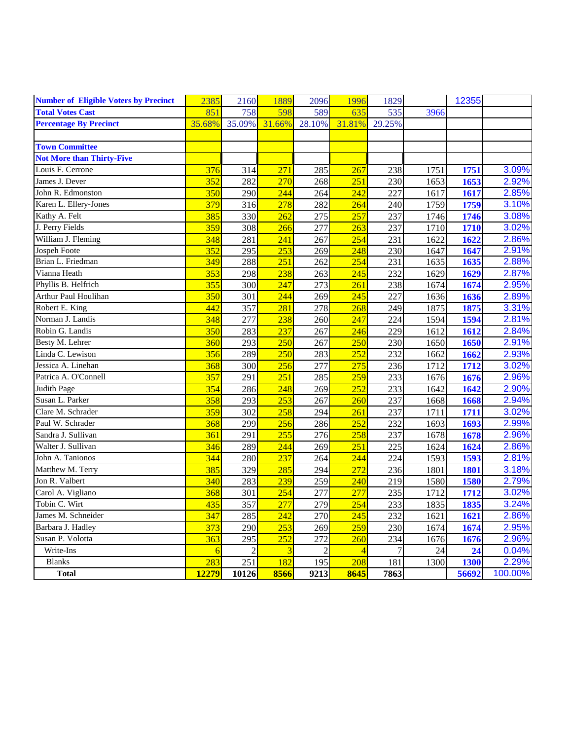| <b>Blanks</b>                                | 283    | 251            | 182              | 195            | 208            | 181            | 1300 | 1300  | 2.29% |
|----------------------------------------------|--------|----------------|------------------|----------------|----------------|----------------|------|-------|-------|
| Write-Ins                                    | 6      | $\overline{c}$ | $\overline{3}$   | $\overline{2}$ | $\overline{4}$ | $\overline{7}$ | 24   | 24    | 0.04% |
| Susan P. Volotta                             | 363    | 295            | 252              | 272            | 260            | 234            | 1676 | 1676  | 2.96% |
| Barbara J. Hadley                            | 373    | 290            | 253              | 269            | 259            | 230            | 1674 | 1674  | 2.95% |
| James M. Schneider                           | 347    | 285            | $\overline{242}$ | 270            | 245            | 232            | 1621 | 1621  | 2.86% |
| Tobin C. Wirt                                | 435    | 357            | 277              | 279            | 254            | 233            | 1835 | 1835  | 3.24% |
| Carol A. Vigliano                            | 368    | 301            | 254              | 277            | 277            | 235            | 1712 | 1712  | 3.02% |
| Jon R. Valbert                               | 340    | 283            | 239              | 259            | 240            | 219            | 1580 | 1580  | 2.79% |
| Matthew M. Terry                             | 385    | 329            | 285              | 294            | 272            | 236            | 1801 | 1801  | 3.18% |
| John A. Tanionos                             | 344    | 280            | 237              | 264            | 244            | 224            | 1593 | 1593  | 2.81% |
| Walter J. Sullivan                           | 346    | 289            | 244              | 269            | 251            | 225            | 1624 | 1624  | 2.86% |
| Sandra J. Sullivan                           | 361    | 291            | 255              | 276            | 258            | 237            | 1678 | 1678  | 2.96% |
| Paul W. Schrader                             | 368    | 299            | 256              | 286            | 252            | 232            | 1693 | 1693  | 2.99% |
| Clare M. Schrader                            | 359    | 302            | 258              | 294            | 261            | 237            | 1711 | 1711  | 3.02% |
| Susan L. Parker                              | 358    | 293            | 253              | 267            | 260            | 237            | 1668 | 1668  | 2.94% |
| Judith Page                                  | 354    | 286            | 248              | 269            | 252            | 233            | 1642 | 1642  | 2.90% |
| Patrica A. O'Connell                         | 357    | 291            | 251              | 285            | 259            | 233            | 1676 | 1676  | 2.96% |
| Jessica A. Linehan                           | 368    | 300            | 256              | 277            | 275            | 236            | 1712 | 1712  | 3.02% |
| Linda C. Lewison                             | 356    | 289            | 250              | 283            | 252            | 232            | 1662 | 1662  | 2.93% |
| Besty M. Lehrer                              | 360    | 293            | 250              | 267            | 250            | 230            | 1650 | 1650  | 2.91% |
| Robin G. Landis                              | 350    | 283            | 237              | 267            | 246            | 229            | 1612 | 1612  | 2.84% |
| Norman J. Landis                             | 348    | 277            | 238              | 260            | 247            | 224            | 1594 | 1594  | 2.81% |
| Robert E. King                               | 442    | 357            | 281              | 278            | 268            | 249            | 1875 | 1875  | 3.31% |
| Arthur Paul Houlihan                         | 350    | 301            | 244              | 269            | 245            | 227            | 1636 | 1636  | 2.89% |
| Phyllis B. Helfrich                          | 355    | 300            | 247              | 273            | 261            | 238            | 1674 | 1674  | 2.95% |
| Vianna Heath                                 | 353    | 298            | 238              | 263            | 245            | 232            | 1629 | 1629  | 2.87% |
| Brian L. Friedman                            | 349    | 288            | 251              | 262            | 254            | 231            | 1635 | 1635  | 2.88% |
| Jospeh Foote                                 | 352    | 295            | 253              | 269            | 248            | 230            | 1647 | 1647  | 2.91% |
| William J. Fleming                           | 348    | 281            | 241              | 267            | 254            | 231            | 1622 | 1622  | 2.86% |
| J. Perry Fields                              | 359    | 308            | 266              | 277            | 263            | 237            | 1710 | 1710  | 3.02% |
| Kathy A. Felt                                | 385    | 330            | 262              | 275            | 257            | 237            | 1746 | 1746  | 3.08% |
| Karen L. Ellery-Jones                        | 379    | 316            | 278              | 282            | 264            | 240            | 1759 | 1759  | 3.10% |
| John R. Edmonston                            | 350    | 290            | 244              | 264            | 242            | 227            | 1617 | 1617  | 2.85% |
| James J. Dever                               | 352    | 282            | 270              | 268            | 251            | 230            | 1653 | 1653  | 2.92% |
| Louis F. Cerrone                             | 376    | 314            | 271              | 285            | 267            | 238            | 1751 | 1751  | 3.09% |
| <b>Not More than Thirty-Five</b>             |        |                |                  |                |                |                |      |       |       |
| <b>Town Committee</b>                        |        |                |                  |                |                |                |      |       |       |
|                                              |        |                |                  |                |                |                |      |       |       |
| <b>Percentage By Precinct</b>                | 35.68% | 35.09%         | 31.66%           | 28.10%         | 31.81%         | 29.25%         |      |       |       |
| <b>Total Votes Cast</b>                      | 851    | 758            | 598              | 589            | 635            | 535            | 3966 |       |       |
| <b>Number of Eligible Voters by Precinct</b> | 2385   | 2160           | 1889             | 2096           | 1996           | 1829           |      | 12355 |       |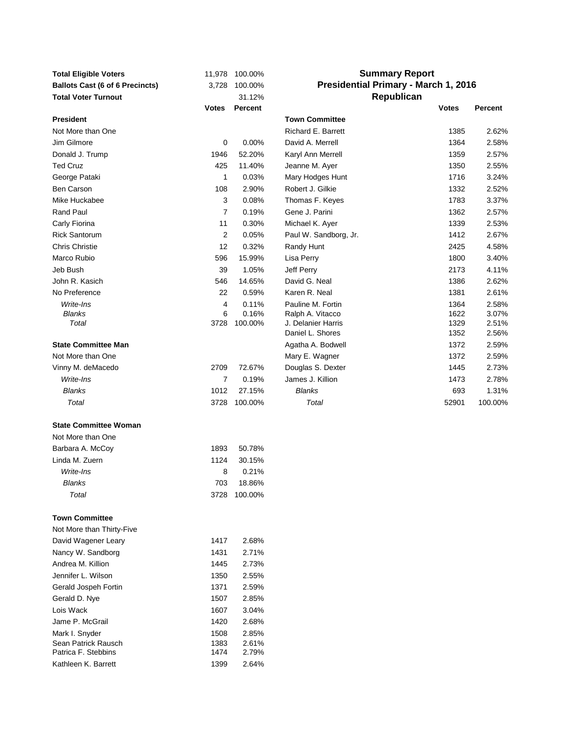| <b>Total Eligible Voters</b>               | 11,978         | 100.00%        |                                             | <b>Summary Report</b> |                |
|--------------------------------------------|----------------|----------------|---------------------------------------------|-----------------------|----------------|
| <b>Ballots Cast (6 of 6 Precincts)</b>     | 3,728          | 100.00%        | <b>Presidential Primary - March 1, 2016</b> |                       |                |
| <b>Total Voter Turnout</b>                 |                | 31.12%         |                                             | Republican            |                |
|                                            | Votes          | <b>Percent</b> |                                             | <b>Votes</b>          | <b>Percent</b> |
| <b>President</b>                           |                |                | <b>Town Committee</b>                       |                       |                |
| Not More than One                          |                |                | Richard E. Barrett                          | 1385                  | 2.62%          |
| Jim Gilmore                                | $\mathbf 0$    | 0.00%          | David A. Merrell                            | 1364                  | 2.58%          |
| Donald J. Trump                            | 1946           | 52.20%         | Karyl Ann Merrell                           | 1359                  | 2.57%          |
| <b>Ted Cruz</b>                            | 425            | 11.40%         | Jeanne M. Ayer                              | 1350                  | 2.55%          |
| George Pataki                              | 1              | 0.03%          | Mary Hodges Hunt                            | 1716                  | 3.24%          |
| Ben Carson                                 | 108            | 2.90%          | Robert J. Gilkie                            | 1332                  | 2.52%          |
| Mike Huckabee                              | 3              | 0.08%          | Thomas F. Keyes                             | 1783                  | 3.37%          |
| Rand Paul                                  | 7              | 0.19%          | Gene J. Parini                              | 1362                  | 2.57%          |
| Carly Fiorina                              | 11             | 0.30%          | Michael K. Ayer                             | 1339                  | 2.53%          |
| <b>Rick Santorum</b>                       | 2              | 0.05%          | Paul W. Sandborg, Jr.                       | 1412                  | 2.67%          |
| <b>Chris Christie</b>                      | 12             | 0.32%          | Randy Hunt                                  | 2425                  | 4.58%          |
| Marco Rubio                                | 596            | 15.99%         | Lisa Perry                                  | 1800                  | 3.40%          |
| Jeb Bush                                   | 39             | 1.05%          | <b>Jeff Perry</b>                           | 2173                  | 4.11%          |
| John R. Kasich                             | 546            | 14.65%         | David G. Neal                               | 1386                  | 2.62%          |
| No Preference                              | 22             | 0.59%          | Karen R. Neal                               | 1381                  | 2.61%          |
| Write-Ins                                  | 4              | 0.11%          | Pauline M. Fortin                           | 1364                  | 2.58%          |
| <b>Blanks</b>                              | 6              | 0.16%          | Ralph A. Vitacco                            | 1622                  | 3.07%          |
| Total                                      | 3728           | 100.00%        | J. Delanier Harris<br>Daniel L. Shores      | 1329<br>1352          | 2.51%<br>2.56% |
| <b>State Committee Man</b>                 |                |                | Agatha A. Bodwell                           | 1372                  | 2.59%          |
| Not More than One                          |                |                | Mary E. Wagner                              | 1372                  | 2.59%          |
| Vinny M. deMacedo                          | 2709           | 72.67%         | Douglas S. Dexter                           | 1445                  | 2.73%          |
| Write-Ins                                  | $\overline{7}$ | 0.19%          | James J. Killion                            | 1473                  | 2.78%          |
| <b>Blanks</b>                              | 1012           | 27.15%         | Blanks                                      | 693                   | 1.31%          |
| Total                                      | 3728           | 100.00%        | Total                                       | 52901                 | 100.00%        |
|                                            |                |                |                                             |                       |                |
| <b>State Committee Woman</b>               |                |                |                                             |                       |                |
| Not More than One                          |                |                |                                             |                       |                |
| Barbara A. McCoy                           | 1893           | 50.78%         |                                             |                       |                |
| Linda M. Zuern                             | 1124           | 30.15%         |                                             |                       |                |
| Write-Ins                                  | 8              | 0.21%          |                                             |                       |                |
| Blanks                                     | 703            | 18.86%         |                                             |                       |                |
| Total                                      |                | 3728 100.00%   |                                             |                       |                |
|                                            |                |                |                                             |                       |                |
| <b>Town Committee</b>                      |                |                |                                             |                       |                |
| Not More than Thirty-Five                  |                |                |                                             |                       |                |
| David Wagener Leary                        | 1417           | 2.68%          |                                             |                       |                |
| Nancy W. Sandborg                          | 1431           | 2.71%          |                                             |                       |                |
| Andrea M. Killion                          | 1445           | 2.73%          |                                             |                       |                |
| Jennifer L. Wilson                         | 1350           | 2.55%          |                                             |                       |                |
| Gerald Jospeh Fortin                       | 1371           | 2.59%          |                                             |                       |                |
| Gerald D. Nye                              | 1507           | 2.85%          |                                             |                       |                |
| Lois Wack                                  | 1607           | 3.04%          |                                             |                       |                |
| Jame P. McGrail                            | 1420           | 2.68%          |                                             |                       |                |
| Mark I. Snyder                             | 1508           | 2.85%          |                                             |                       |                |
| Sean Patrick Rausch                        | 1383           | 2.61%          |                                             |                       |                |
| Patrica F. Stebbins<br>Kathleen K. Barrett | 1474<br>1399   | 2.79%          |                                             |                       |                |
|                                            |                | 2.64%          |                                             |                       |                |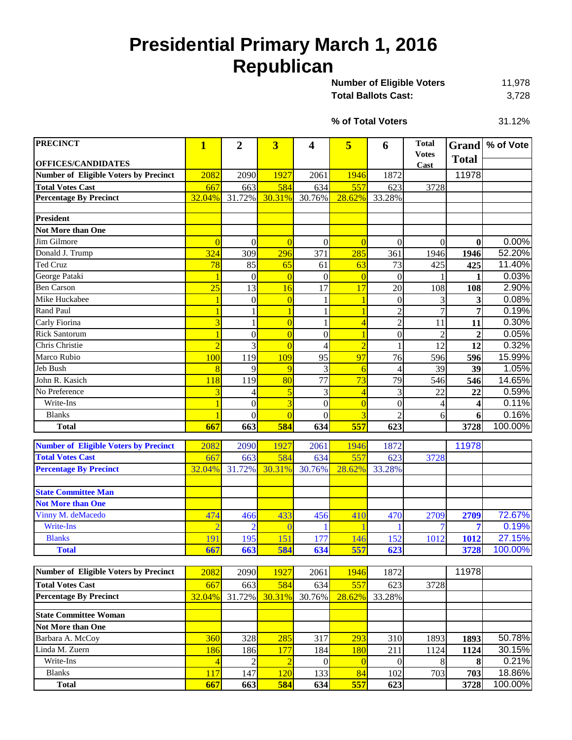# **Presidential Primary March 1, 2016 Republican**

| <b>Number of Eligible Voters</b> | 11.978 |
|----------------------------------|--------|
| Total Ballots Cast:              | 3,728  |

31.12% **% of Total Voters**

| <b>OFFICES/CANDIDATES</b><br>Cast<br><b>Number of Eligible Voters by Precinct</b><br>2082<br>1927<br>1946<br>1872<br>11978<br>2090<br>2061<br>584<br>557<br><b>Total Votes Cast</b><br>634<br>623<br>3728<br>667<br>663<br>32.04%<br><b>Percentage By Precinct</b><br>31.72%<br>30.31%<br>30.76%<br>28.62%<br>33.28%<br><b>President</b><br>Not More than One<br>0.00%<br>Jim Gilmore<br>$\overline{0}$<br>$\overline{0}$<br>$\overline{0}$<br>$\overline{0}$<br>$\overline{0}$<br>$\mathbf{0}$<br>$\mathbf{0}$<br>$\overline{0}$<br>296<br>52.20%<br>Donald J. Trump<br>324<br>371<br>285<br>309<br>361<br>1946<br>1946<br><b>Ted Cruz</b><br>11.40%<br>78<br>85<br>65<br>63<br>73<br>425<br>425<br>61<br>0.03%<br>George Pataki<br>$\overline{0}$<br>$\overline{0}$<br>$\boldsymbol{0}$<br>$\overline{0}$<br>$\overline{0}$<br>$\mathbf{1}$<br><b>Ben Carson</b><br>2.90%<br>25<br>13<br>17<br>17<br>20<br>108<br>16<br>108<br>Mike Huckabee<br>0.08%<br>$\boldsymbol{0}$<br>$\overline{0}$<br>3<br>$\theta$<br>3<br>0.19%<br>Rand Paul<br>$\overline{c}$<br>$\overline{7}$<br>$\overline{7}$<br>$\mathbf{1}$<br>$\overline{2}$<br>0.30%<br>Carly Fiorina<br>3<br>$\overline{0}$<br>$\overline{4}$<br>11<br>11<br>0.05%<br><b>Rick Santorum</b><br>$\overline{0}$<br>$\overline{0}$<br>$\boldsymbol{0}$<br>$\overline{2}$<br>$\overline{2}$<br>$\mathbf{0}$<br>Chris Christie<br>$\overline{3}$<br>0.32%<br>$\overline{2}$<br>12<br>$\overline{2}$<br>$\overline{0}$<br>12<br>$\overline{\mathcal{L}}$<br>15.99%<br>Marco Rubio<br>97<br>100<br>119<br>109<br>95<br>76<br>596<br>596<br>Jeb Bush<br>1.05%<br>9<br>9<br>39<br>3<br>39<br>8<br>$\overline{6}$<br>$\overline{4}$<br>John R. Kasich<br>77<br>73<br>79<br>14.65%<br>119<br>80<br>546<br>546<br>118<br>No Preference<br>0.59%<br>3<br>5<br>3<br>$\overline{4}$<br>3<br>22<br>22<br>4<br>$\overline{3}$<br>Write-Ins<br>$\overline{0}$<br>$\overline{0}$<br>0.11%<br>$\boldsymbol{0}$<br>$\boldsymbol{0}$<br>4<br>$\boldsymbol{4}$<br>0.16%<br>$\overline{0}$<br><b>Blanks</b><br>$\overline{3}$<br>$\overline{c}$<br>$\boldsymbol{0}$<br>$\theta$<br>6<br>6<br>557<br>100.00%<br>663<br>584<br>667<br>634<br>623<br>3728<br><b>Total</b><br><b>Number of Eligible Voters by Precinct</b><br>2082<br>1927<br>1872<br>11978<br>2090<br>2061<br>1946<br>584<br>557<br><b>Total Votes Cast</b><br>663<br>634<br>623<br>3728<br>667<br>30.31%<br>28.62%<br><b>Percentage By Precinct</b><br>32.04%<br>31.72%<br>30.76%<br>33.28%<br><b>State Committee Man</b><br><b>Not More than One</b><br>Vinny M. deMacedo<br>72.67%<br>474<br>433<br>456<br>2709<br>410<br>470<br>2709<br>466<br>Write-Ins<br>$\overline{2}$<br>0.19%<br>$\overline{0}$<br>7<br>7<br><b>Blanks</b><br>151<br>27.15%<br>152<br>191<br>195<br>177<br>146<br>1012<br>1012<br>557<br>667<br>663<br>584<br>623<br>100.00%<br>634<br>3728<br><b>Total</b><br><b>Number of Eligible Voters by Precinct</b><br>11978<br>2082<br>1927<br>2090<br>2061<br>1946<br>1872<br><b>Total Votes Cast</b><br>584<br>667<br>663<br>634<br>557<br>623<br>3728<br><b>Percentage By Precinct</b><br>32.04%<br>31.72%<br>30.31%<br>28.62%<br>33.28%<br>30.76%<br><b>State Committee Woman</b><br>Not More than One<br>Barbara A. McCoy<br>360<br>50.78%<br>328<br>285<br>317<br>293<br>310<br>1893<br>1893<br>Linda M. Zuern<br>186<br>177<br>184<br>180<br>211<br>30.15%<br>186<br>1124<br>1124<br>$\,8\,$<br>0.21%<br>Write-Ins<br>$\mathfrak{2}$<br>$\overline{2}$<br>$\overline{0}$<br>$\overline{0}$<br>$\overline{4}$<br>$\overline{0}$<br>8<br>703 | <b>PRECINCT</b> | $\mathbf{1}$ | 2   | 3   | 4   | 5  | 6   | <b>Total</b><br><b>Votes</b> |              | Grand % of Vote |
|-----------------------------------------------------------------------------------------------------------------------------------------------------------------------------------------------------------------------------------------------------------------------------------------------------------------------------------------------------------------------------------------------------------------------------------------------------------------------------------------------------------------------------------------------------------------------------------------------------------------------------------------------------------------------------------------------------------------------------------------------------------------------------------------------------------------------------------------------------------------------------------------------------------------------------------------------------------------------------------------------------------------------------------------------------------------------------------------------------------------------------------------------------------------------------------------------------------------------------------------------------------------------------------------------------------------------------------------------------------------------------------------------------------------------------------------------------------------------------------------------------------------------------------------------------------------------------------------------------------------------------------------------------------------------------------------------------------------------------------------------------------------------------------------------------------------------------------------------------------------------------------------------------------------------------------------------------------------------------------------------------------------------------------------------------------------------------------------------------------------------------------------------------------------------------------------------------------------------------------------------------------------------------------------------------------------------------------------------------------------------------------------------------------------------------------------------------------------------------------------------------------------------------------------------------------------------------------------------------------------------------------------------------------------------------------------------------------------------------------------------------------------------------------------------------------------------------------------------------------------------------------------------------------------------------------------------------------------------------------------------------------------------------------------------------------------------------------------------------------------------------------------------------------------------------------------------------------------------------------------------------------------------------------------------------------------------------------------------------------------------------------------------------------------------------------------------------------------------------------------------------------------------------------------------------------------|-----------------|--------------|-----|-----|-----|----|-----|------------------------------|--------------|-----------------|
|                                                                                                                                                                                                                                                                                                                                                                                                                                                                                                                                                                                                                                                                                                                                                                                                                                                                                                                                                                                                                                                                                                                                                                                                                                                                                                                                                                                                                                                                                                                                                                                                                                                                                                                                                                                                                                                                                                                                                                                                                                                                                                                                                                                                                                                                                                                                                                                                                                                                                                                                                                                                                                                                                                                                                                                                                                                                                                                                                                                                                                                                                                                                                                                                                                                                                                                                                                                                                                                                                                                                                                 |                 |              |     |     |     |    |     |                              | <b>Total</b> |                 |
|                                                                                                                                                                                                                                                                                                                                                                                                                                                                                                                                                                                                                                                                                                                                                                                                                                                                                                                                                                                                                                                                                                                                                                                                                                                                                                                                                                                                                                                                                                                                                                                                                                                                                                                                                                                                                                                                                                                                                                                                                                                                                                                                                                                                                                                                                                                                                                                                                                                                                                                                                                                                                                                                                                                                                                                                                                                                                                                                                                                                                                                                                                                                                                                                                                                                                                                                                                                                                                                                                                                                                                 |                 |              |     |     |     |    |     |                              |              |                 |
|                                                                                                                                                                                                                                                                                                                                                                                                                                                                                                                                                                                                                                                                                                                                                                                                                                                                                                                                                                                                                                                                                                                                                                                                                                                                                                                                                                                                                                                                                                                                                                                                                                                                                                                                                                                                                                                                                                                                                                                                                                                                                                                                                                                                                                                                                                                                                                                                                                                                                                                                                                                                                                                                                                                                                                                                                                                                                                                                                                                                                                                                                                                                                                                                                                                                                                                                                                                                                                                                                                                                                                 |                 |              |     |     |     |    |     |                              |              |                 |
|                                                                                                                                                                                                                                                                                                                                                                                                                                                                                                                                                                                                                                                                                                                                                                                                                                                                                                                                                                                                                                                                                                                                                                                                                                                                                                                                                                                                                                                                                                                                                                                                                                                                                                                                                                                                                                                                                                                                                                                                                                                                                                                                                                                                                                                                                                                                                                                                                                                                                                                                                                                                                                                                                                                                                                                                                                                                                                                                                                                                                                                                                                                                                                                                                                                                                                                                                                                                                                                                                                                                                                 |                 |              |     |     |     |    |     |                              |              |                 |
|                                                                                                                                                                                                                                                                                                                                                                                                                                                                                                                                                                                                                                                                                                                                                                                                                                                                                                                                                                                                                                                                                                                                                                                                                                                                                                                                                                                                                                                                                                                                                                                                                                                                                                                                                                                                                                                                                                                                                                                                                                                                                                                                                                                                                                                                                                                                                                                                                                                                                                                                                                                                                                                                                                                                                                                                                                                                                                                                                                                                                                                                                                                                                                                                                                                                                                                                                                                                                                                                                                                                                                 |                 |              |     |     |     |    |     |                              |              |                 |
|                                                                                                                                                                                                                                                                                                                                                                                                                                                                                                                                                                                                                                                                                                                                                                                                                                                                                                                                                                                                                                                                                                                                                                                                                                                                                                                                                                                                                                                                                                                                                                                                                                                                                                                                                                                                                                                                                                                                                                                                                                                                                                                                                                                                                                                                                                                                                                                                                                                                                                                                                                                                                                                                                                                                                                                                                                                                                                                                                                                                                                                                                                                                                                                                                                                                                                                                                                                                                                                                                                                                                                 |                 |              |     |     |     |    |     |                              |              |                 |
|                                                                                                                                                                                                                                                                                                                                                                                                                                                                                                                                                                                                                                                                                                                                                                                                                                                                                                                                                                                                                                                                                                                                                                                                                                                                                                                                                                                                                                                                                                                                                                                                                                                                                                                                                                                                                                                                                                                                                                                                                                                                                                                                                                                                                                                                                                                                                                                                                                                                                                                                                                                                                                                                                                                                                                                                                                                                                                                                                                                                                                                                                                                                                                                                                                                                                                                                                                                                                                                                                                                                                                 |                 |              |     |     |     |    |     |                              |              |                 |
|                                                                                                                                                                                                                                                                                                                                                                                                                                                                                                                                                                                                                                                                                                                                                                                                                                                                                                                                                                                                                                                                                                                                                                                                                                                                                                                                                                                                                                                                                                                                                                                                                                                                                                                                                                                                                                                                                                                                                                                                                                                                                                                                                                                                                                                                                                                                                                                                                                                                                                                                                                                                                                                                                                                                                                                                                                                                                                                                                                                                                                                                                                                                                                                                                                                                                                                                                                                                                                                                                                                                                                 |                 |              |     |     |     |    |     |                              |              |                 |
|                                                                                                                                                                                                                                                                                                                                                                                                                                                                                                                                                                                                                                                                                                                                                                                                                                                                                                                                                                                                                                                                                                                                                                                                                                                                                                                                                                                                                                                                                                                                                                                                                                                                                                                                                                                                                                                                                                                                                                                                                                                                                                                                                                                                                                                                                                                                                                                                                                                                                                                                                                                                                                                                                                                                                                                                                                                                                                                                                                                                                                                                                                                                                                                                                                                                                                                                                                                                                                                                                                                                                                 |                 |              |     |     |     |    |     |                              |              |                 |
|                                                                                                                                                                                                                                                                                                                                                                                                                                                                                                                                                                                                                                                                                                                                                                                                                                                                                                                                                                                                                                                                                                                                                                                                                                                                                                                                                                                                                                                                                                                                                                                                                                                                                                                                                                                                                                                                                                                                                                                                                                                                                                                                                                                                                                                                                                                                                                                                                                                                                                                                                                                                                                                                                                                                                                                                                                                                                                                                                                                                                                                                                                                                                                                                                                                                                                                                                                                                                                                                                                                                                                 |                 |              |     |     |     |    |     |                              |              |                 |
|                                                                                                                                                                                                                                                                                                                                                                                                                                                                                                                                                                                                                                                                                                                                                                                                                                                                                                                                                                                                                                                                                                                                                                                                                                                                                                                                                                                                                                                                                                                                                                                                                                                                                                                                                                                                                                                                                                                                                                                                                                                                                                                                                                                                                                                                                                                                                                                                                                                                                                                                                                                                                                                                                                                                                                                                                                                                                                                                                                                                                                                                                                                                                                                                                                                                                                                                                                                                                                                                                                                                                                 |                 |              |     |     |     |    |     |                              |              |                 |
|                                                                                                                                                                                                                                                                                                                                                                                                                                                                                                                                                                                                                                                                                                                                                                                                                                                                                                                                                                                                                                                                                                                                                                                                                                                                                                                                                                                                                                                                                                                                                                                                                                                                                                                                                                                                                                                                                                                                                                                                                                                                                                                                                                                                                                                                                                                                                                                                                                                                                                                                                                                                                                                                                                                                                                                                                                                                                                                                                                                                                                                                                                                                                                                                                                                                                                                                                                                                                                                                                                                                                                 |                 |              |     |     |     |    |     |                              |              |                 |
|                                                                                                                                                                                                                                                                                                                                                                                                                                                                                                                                                                                                                                                                                                                                                                                                                                                                                                                                                                                                                                                                                                                                                                                                                                                                                                                                                                                                                                                                                                                                                                                                                                                                                                                                                                                                                                                                                                                                                                                                                                                                                                                                                                                                                                                                                                                                                                                                                                                                                                                                                                                                                                                                                                                                                                                                                                                                                                                                                                                                                                                                                                                                                                                                                                                                                                                                                                                                                                                                                                                                                                 |                 |              |     |     |     |    |     |                              |              |                 |
|                                                                                                                                                                                                                                                                                                                                                                                                                                                                                                                                                                                                                                                                                                                                                                                                                                                                                                                                                                                                                                                                                                                                                                                                                                                                                                                                                                                                                                                                                                                                                                                                                                                                                                                                                                                                                                                                                                                                                                                                                                                                                                                                                                                                                                                                                                                                                                                                                                                                                                                                                                                                                                                                                                                                                                                                                                                                                                                                                                                                                                                                                                                                                                                                                                                                                                                                                                                                                                                                                                                                                                 |                 |              |     |     |     |    |     |                              |              |                 |
|                                                                                                                                                                                                                                                                                                                                                                                                                                                                                                                                                                                                                                                                                                                                                                                                                                                                                                                                                                                                                                                                                                                                                                                                                                                                                                                                                                                                                                                                                                                                                                                                                                                                                                                                                                                                                                                                                                                                                                                                                                                                                                                                                                                                                                                                                                                                                                                                                                                                                                                                                                                                                                                                                                                                                                                                                                                                                                                                                                                                                                                                                                                                                                                                                                                                                                                                                                                                                                                                                                                                                                 |                 |              |     |     |     |    |     |                              |              |                 |
|                                                                                                                                                                                                                                                                                                                                                                                                                                                                                                                                                                                                                                                                                                                                                                                                                                                                                                                                                                                                                                                                                                                                                                                                                                                                                                                                                                                                                                                                                                                                                                                                                                                                                                                                                                                                                                                                                                                                                                                                                                                                                                                                                                                                                                                                                                                                                                                                                                                                                                                                                                                                                                                                                                                                                                                                                                                                                                                                                                                                                                                                                                                                                                                                                                                                                                                                                                                                                                                                                                                                                                 |                 |              |     |     |     |    |     |                              |              |                 |
|                                                                                                                                                                                                                                                                                                                                                                                                                                                                                                                                                                                                                                                                                                                                                                                                                                                                                                                                                                                                                                                                                                                                                                                                                                                                                                                                                                                                                                                                                                                                                                                                                                                                                                                                                                                                                                                                                                                                                                                                                                                                                                                                                                                                                                                                                                                                                                                                                                                                                                                                                                                                                                                                                                                                                                                                                                                                                                                                                                                                                                                                                                                                                                                                                                                                                                                                                                                                                                                                                                                                                                 |                 |              |     |     |     |    |     |                              |              |                 |
|                                                                                                                                                                                                                                                                                                                                                                                                                                                                                                                                                                                                                                                                                                                                                                                                                                                                                                                                                                                                                                                                                                                                                                                                                                                                                                                                                                                                                                                                                                                                                                                                                                                                                                                                                                                                                                                                                                                                                                                                                                                                                                                                                                                                                                                                                                                                                                                                                                                                                                                                                                                                                                                                                                                                                                                                                                                                                                                                                                                                                                                                                                                                                                                                                                                                                                                                                                                                                                                                                                                                                                 |                 |              |     |     |     |    |     |                              |              |                 |
|                                                                                                                                                                                                                                                                                                                                                                                                                                                                                                                                                                                                                                                                                                                                                                                                                                                                                                                                                                                                                                                                                                                                                                                                                                                                                                                                                                                                                                                                                                                                                                                                                                                                                                                                                                                                                                                                                                                                                                                                                                                                                                                                                                                                                                                                                                                                                                                                                                                                                                                                                                                                                                                                                                                                                                                                                                                                                                                                                                                                                                                                                                                                                                                                                                                                                                                                                                                                                                                                                                                                                                 |                 |              |     |     |     |    |     |                              |              |                 |
|                                                                                                                                                                                                                                                                                                                                                                                                                                                                                                                                                                                                                                                                                                                                                                                                                                                                                                                                                                                                                                                                                                                                                                                                                                                                                                                                                                                                                                                                                                                                                                                                                                                                                                                                                                                                                                                                                                                                                                                                                                                                                                                                                                                                                                                                                                                                                                                                                                                                                                                                                                                                                                                                                                                                                                                                                                                                                                                                                                                                                                                                                                                                                                                                                                                                                                                                                                                                                                                                                                                                                                 |                 |              |     |     |     |    |     |                              |              |                 |
|                                                                                                                                                                                                                                                                                                                                                                                                                                                                                                                                                                                                                                                                                                                                                                                                                                                                                                                                                                                                                                                                                                                                                                                                                                                                                                                                                                                                                                                                                                                                                                                                                                                                                                                                                                                                                                                                                                                                                                                                                                                                                                                                                                                                                                                                                                                                                                                                                                                                                                                                                                                                                                                                                                                                                                                                                                                                                                                                                                                                                                                                                                                                                                                                                                                                                                                                                                                                                                                                                                                                                                 |                 |              |     |     |     |    |     |                              |              |                 |
|                                                                                                                                                                                                                                                                                                                                                                                                                                                                                                                                                                                                                                                                                                                                                                                                                                                                                                                                                                                                                                                                                                                                                                                                                                                                                                                                                                                                                                                                                                                                                                                                                                                                                                                                                                                                                                                                                                                                                                                                                                                                                                                                                                                                                                                                                                                                                                                                                                                                                                                                                                                                                                                                                                                                                                                                                                                                                                                                                                                                                                                                                                                                                                                                                                                                                                                                                                                                                                                                                                                                                                 |                 |              |     |     |     |    |     |                              |              |                 |
|                                                                                                                                                                                                                                                                                                                                                                                                                                                                                                                                                                                                                                                                                                                                                                                                                                                                                                                                                                                                                                                                                                                                                                                                                                                                                                                                                                                                                                                                                                                                                                                                                                                                                                                                                                                                                                                                                                                                                                                                                                                                                                                                                                                                                                                                                                                                                                                                                                                                                                                                                                                                                                                                                                                                                                                                                                                                                                                                                                                                                                                                                                                                                                                                                                                                                                                                                                                                                                                                                                                                                                 |                 |              |     |     |     |    |     |                              |              |                 |
|                                                                                                                                                                                                                                                                                                                                                                                                                                                                                                                                                                                                                                                                                                                                                                                                                                                                                                                                                                                                                                                                                                                                                                                                                                                                                                                                                                                                                                                                                                                                                                                                                                                                                                                                                                                                                                                                                                                                                                                                                                                                                                                                                                                                                                                                                                                                                                                                                                                                                                                                                                                                                                                                                                                                                                                                                                                                                                                                                                                                                                                                                                                                                                                                                                                                                                                                                                                                                                                                                                                                                                 |                 |              |     |     |     |    |     |                              |              |                 |
|                                                                                                                                                                                                                                                                                                                                                                                                                                                                                                                                                                                                                                                                                                                                                                                                                                                                                                                                                                                                                                                                                                                                                                                                                                                                                                                                                                                                                                                                                                                                                                                                                                                                                                                                                                                                                                                                                                                                                                                                                                                                                                                                                                                                                                                                                                                                                                                                                                                                                                                                                                                                                                                                                                                                                                                                                                                                                                                                                                                                                                                                                                                                                                                                                                                                                                                                                                                                                                                                                                                                                                 |                 |              |     |     |     |    |     |                              |              |                 |
|                                                                                                                                                                                                                                                                                                                                                                                                                                                                                                                                                                                                                                                                                                                                                                                                                                                                                                                                                                                                                                                                                                                                                                                                                                                                                                                                                                                                                                                                                                                                                                                                                                                                                                                                                                                                                                                                                                                                                                                                                                                                                                                                                                                                                                                                                                                                                                                                                                                                                                                                                                                                                                                                                                                                                                                                                                                                                                                                                                                                                                                                                                                                                                                                                                                                                                                                                                                                                                                                                                                                                                 |                 |              |     |     |     |    |     |                              |              |                 |
|                                                                                                                                                                                                                                                                                                                                                                                                                                                                                                                                                                                                                                                                                                                                                                                                                                                                                                                                                                                                                                                                                                                                                                                                                                                                                                                                                                                                                                                                                                                                                                                                                                                                                                                                                                                                                                                                                                                                                                                                                                                                                                                                                                                                                                                                                                                                                                                                                                                                                                                                                                                                                                                                                                                                                                                                                                                                                                                                                                                                                                                                                                                                                                                                                                                                                                                                                                                                                                                                                                                                                                 |                 |              |     |     |     |    |     |                              |              |                 |
|                                                                                                                                                                                                                                                                                                                                                                                                                                                                                                                                                                                                                                                                                                                                                                                                                                                                                                                                                                                                                                                                                                                                                                                                                                                                                                                                                                                                                                                                                                                                                                                                                                                                                                                                                                                                                                                                                                                                                                                                                                                                                                                                                                                                                                                                                                                                                                                                                                                                                                                                                                                                                                                                                                                                                                                                                                                                                                                                                                                                                                                                                                                                                                                                                                                                                                                                                                                                                                                                                                                                                                 |                 |              |     |     |     |    |     |                              |              |                 |
|                                                                                                                                                                                                                                                                                                                                                                                                                                                                                                                                                                                                                                                                                                                                                                                                                                                                                                                                                                                                                                                                                                                                                                                                                                                                                                                                                                                                                                                                                                                                                                                                                                                                                                                                                                                                                                                                                                                                                                                                                                                                                                                                                                                                                                                                                                                                                                                                                                                                                                                                                                                                                                                                                                                                                                                                                                                                                                                                                                                                                                                                                                                                                                                                                                                                                                                                                                                                                                                                                                                                                                 |                 |              |     |     |     |    |     |                              |              |                 |
|                                                                                                                                                                                                                                                                                                                                                                                                                                                                                                                                                                                                                                                                                                                                                                                                                                                                                                                                                                                                                                                                                                                                                                                                                                                                                                                                                                                                                                                                                                                                                                                                                                                                                                                                                                                                                                                                                                                                                                                                                                                                                                                                                                                                                                                                                                                                                                                                                                                                                                                                                                                                                                                                                                                                                                                                                                                                                                                                                                                                                                                                                                                                                                                                                                                                                                                                                                                                                                                                                                                                                                 |                 |              |     |     |     |    |     |                              |              |                 |
|                                                                                                                                                                                                                                                                                                                                                                                                                                                                                                                                                                                                                                                                                                                                                                                                                                                                                                                                                                                                                                                                                                                                                                                                                                                                                                                                                                                                                                                                                                                                                                                                                                                                                                                                                                                                                                                                                                                                                                                                                                                                                                                                                                                                                                                                                                                                                                                                                                                                                                                                                                                                                                                                                                                                                                                                                                                                                                                                                                                                                                                                                                                                                                                                                                                                                                                                                                                                                                                                                                                                                                 |                 |              |     |     |     |    |     |                              |              |                 |
|                                                                                                                                                                                                                                                                                                                                                                                                                                                                                                                                                                                                                                                                                                                                                                                                                                                                                                                                                                                                                                                                                                                                                                                                                                                                                                                                                                                                                                                                                                                                                                                                                                                                                                                                                                                                                                                                                                                                                                                                                                                                                                                                                                                                                                                                                                                                                                                                                                                                                                                                                                                                                                                                                                                                                                                                                                                                                                                                                                                                                                                                                                                                                                                                                                                                                                                                                                                                                                                                                                                                                                 |                 |              |     |     |     |    |     |                              |              |                 |
|                                                                                                                                                                                                                                                                                                                                                                                                                                                                                                                                                                                                                                                                                                                                                                                                                                                                                                                                                                                                                                                                                                                                                                                                                                                                                                                                                                                                                                                                                                                                                                                                                                                                                                                                                                                                                                                                                                                                                                                                                                                                                                                                                                                                                                                                                                                                                                                                                                                                                                                                                                                                                                                                                                                                                                                                                                                                                                                                                                                                                                                                                                                                                                                                                                                                                                                                                                                                                                                                                                                                                                 |                 |              |     |     |     |    |     |                              |              |                 |
|                                                                                                                                                                                                                                                                                                                                                                                                                                                                                                                                                                                                                                                                                                                                                                                                                                                                                                                                                                                                                                                                                                                                                                                                                                                                                                                                                                                                                                                                                                                                                                                                                                                                                                                                                                                                                                                                                                                                                                                                                                                                                                                                                                                                                                                                                                                                                                                                                                                                                                                                                                                                                                                                                                                                                                                                                                                                                                                                                                                                                                                                                                                                                                                                                                                                                                                                                                                                                                                                                                                                                                 |                 |              |     |     |     |    |     |                              |              |                 |
|                                                                                                                                                                                                                                                                                                                                                                                                                                                                                                                                                                                                                                                                                                                                                                                                                                                                                                                                                                                                                                                                                                                                                                                                                                                                                                                                                                                                                                                                                                                                                                                                                                                                                                                                                                                                                                                                                                                                                                                                                                                                                                                                                                                                                                                                                                                                                                                                                                                                                                                                                                                                                                                                                                                                                                                                                                                                                                                                                                                                                                                                                                                                                                                                                                                                                                                                                                                                                                                                                                                                                                 |                 |              |     |     |     |    |     |                              |              |                 |
|                                                                                                                                                                                                                                                                                                                                                                                                                                                                                                                                                                                                                                                                                                                                                                                                                                                                                                                                                                                                                                                                                                                                                                                                                                                                                                                                                                                                                                                                                                                                                                                                                                                                                                                                                                                                                                                                                                                                                                                                                                                                                                                                                                                                                                                                                                                                                                                                                                                                                                                                                                                                                                                                                                                                                                                                                                                                                                                                                                                                                                                                                                                                                                                                                                                                                                                                                                                                                                                                                                                                                                 |                 |              |     |     |     |    |     |                              |              |                 |
|                                                                                                                                                                                                                                                                                                                                                                                                                                                                                                                                                                                                                                                                                                                                                                                                                                                                                                                                                                                                                                                                                                                                                                                                                                                                                                                                                                                                                                                                                                                                                                                                                                                                                                                                                                                                                                                                                                                                                                                                                                                                                                                                                                                                                                                                                                                                                                                                                                                                                                                                                                                                                                                                                                                                                                                                                                                                                                                                                                                                                                                                                                                                                                                                                                                                                                                                                                                                                                                                                                                                                                 |                 |              |     |     |     |    |     |                              |              |                 |
|                                                                                                                                                                                                                                                                                                                                                                                                                                                                                                                                                                                                                                                                                                                                                                                                                                                                                                                                                                                                                                                                                                                                                                                                                                                                                                                                                                                                                                                                                                                                                                                                                                                                                                                                                                                                                                                                                                                                                                                                                                                                                                                                                                                                                                                                                                                                                                                                                                                                                                                                                                                                                                                                                                                                                                                                                                                                                                                                                                                                                                                                                                                                                                                                                                                                                                                                                                                                                                                                                                                                                                 |                 |              |     |     |     |    |     |                              |              |                 |
|                                                                                                                                                                                                                                                                                                                                                                                                                                                                                                                                                                                                                                                                                                                                                                                                                                                                                                                                                                                                                                                                                                                                                                                                                                                                                                                                                                                                                                                                                                                                                                                                                                                                                                                                                                                                                                                                                                                                                                                                                                                                                                                                                                                                                                                                                                                                                                                                                                                                                                                                                                                                                                                                                                                                                                                                                                                                                                                                                                                                                                                                                                                                                                                                                                                                                                                                                                                                                                                                                                                                                                 |                 |              |     |     |     |    |     |                              |              |                 |
|                                                                                                                                                                                                                                                                                                                                                                                                                                                                                                                                                                                                                                                                                                                                                                                                                                                                                                                                                                                                                                                                                                                                                                                                                                                                                                                                                                                                                                                                                                                                                                                                                                                                                                                                                                                                                                                                                                                                                                                                                                                                                                                                                                                                                                                                                                                                                                                                                                                                                                                                                                                                                                                                                                                                                                                                                                                                                                                                                                                                                                                                                                                                                                                                                                                                                                                                                                                                                                                                                                                                                                 |                 |              |     |     |     |    |     |                              |              |                 |
|                                                                                                                                                                                                                                                                                                                                                                                                                                                                                                                                                                                                                                                                                                                                                                                                                                                                                                                                                                                                                                                                                                                                                                                                                                                                                                                                                                                                                                                                                                                                                                                                                                                                                                                                                                                                                                                                                                                                                                                                                                                                                                                                                                                                                                                                                                                                                                                                                                                                                                                                                                                                                                                                                                                                                                                                                                                                                                                                                                                                                                                                                                                                                                                                                                                                                                                                                                                                                                                                                                                                                                 |                 |              |     |     |     |    |     |                              |              |                 |
|                                                                                                                                                                                                                                                                                                                                                                                                                                                                                                                                                                                                                                                                                                                                                                                                                                                                                                                                                                                                                                                                                                                                                                                                                                                                                                                                                                                                                                                                                                                                                                                                                                                                                                                                                                                                                                                                                                                                                                                                                                                                                                                                                                                                                                                                                                                                                                                                                                                                                                                                                                                                                                                                                                                                                                                                                                                                                                                                                                                                                                                                                                                                                                                                                                                                                                                                                                                                                                                                                                                                                                 |                 |              |     |     |     |    |     |                              |              |                 |
|                                                                                                                                                                                                                                                                                                                                                                                                                                                                                                                                                                                                                                                                                                                                                                                                                                                                                                                                                                                                                                                                                                                                                                                                                                                                                                                                                                                                                                                                                                                                                                                                                                                                                                                                                                                                                                                                                                                                                                                                                                                                                                                                                                                                                                                                                                                                                                                                                                                                                                                                                                                                                                                                                                                                                                                                                                                                                                                                                                                                                                                                                                                                                                                                                                                                                                                                                                                                                                                                                                                                                                 | <b>Blanks</b>   | 117          | 147 | 120 | 133 | 84 | 102 |                              | 703          | 18.86%          |

 **Total 667 663 584 634 557 623 3728** 100.00%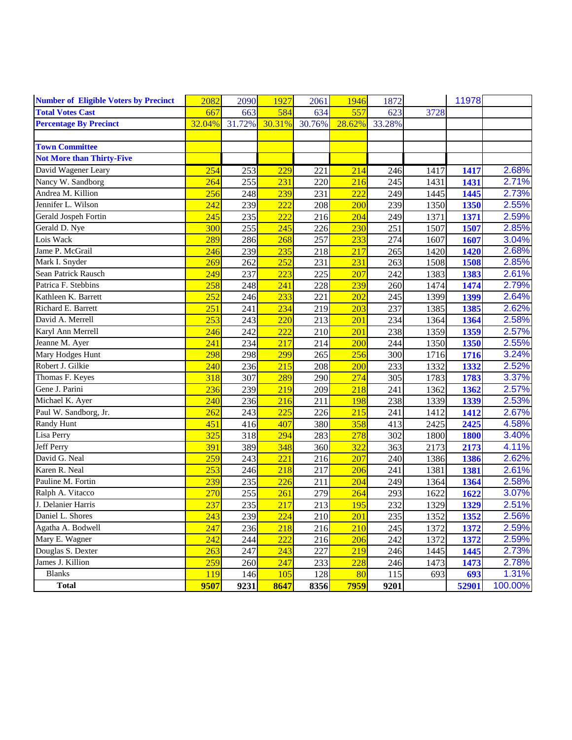| <b>Number of Eligible Voters by Precinct</b> | 2082   | 2090   | 1927   | 2061   | 1946   | 1872   |      | 11978 |         |
|----------------------------------------------|--------|--------|--------|--------|--------|--------|------|-------|---------|
| <b>Total Votes Cast</b>                      | 667    | 663    | 584    | 634    | 557    | 623    | 3728 |       |         |
| <b>Percentage By Precinct</b>                | 32.04% | 31.72% | 30.31% | 30.76% | 28.62% | 33.28% |      |       |         |
|                                              |        |        |        |        |        |        |      |       |         |
| <b>Town Committee</b>                        |        |        |        |        |        |        |      |       |         |
| <b>Not More than Thirty-Five</b>             |        |        |        |        |        |        |      |       |         |
| David Wagener Leary                          | 254    | 253    | 229    | 221    | 214    | 246    | 1417 | 1417  | 2.68%   |
| Nancy W. Sandborg                            | 264    | 255    | 231    | 220    | 216    | 245    | 1431 | 1431  | 2.71%   |
| Andrea M. Killion                            | 256    | 248    | 239    | 231    | 222    | 249    | 1445 | 1445  | 2.73%   |
| Jennifer L. Wilson                           | 242    | 239    | 222    | 208    | 200    | 239    | 1350 | 1350  | 2.55%   |
| Gerald Jospeh Fortin                         | 245    | 235    | 222    | 216    | 204    | 249    | 1371 | 1371  | 2.59%   |
| Gerald D. Nye                                | 300    | 255    | 245    | 226    | 230    | 251    | 1507 | 1507  | 2.85%   |
| Lois Wack                                    | 289    | 286    | 268    | 257    | 233    | 274    | 1607 | 1607  | 3.04%   |
| Jame P. McGrail                              | 246    | 239    | 235    | 218    | 217    | 265    | 1420 | 1420  | 2.68%   |
| Mark I. Snyder                               | 269    | 262    | 252    | 231    | 231    | 263    | 1508 | 1508  | 2.85%   |
| Sean Patrick Rausch                          | 249    | 237    | 223    | 225    | 207    | 242    | 1383 | 1383  | 2.61%   |
| Patrica F. Stebbins                          | 258    | 248    | 241    | 228    | 239    | 260    | 1474 | 1474  | 2.79%   |
| Kathleen K. Barrett                          | 252    | 246    | 233    | 221    | 202    | 245    | 1399 | 1399  | 2.64%   |
| Richard E. Barrett                           | 251    | 241    | 234    | 219    | 203    | 237    | 1385 | 1385  | 2.62%   |
| David A. Merrell                             | 253    | 243    | 220    | 213    | 201    | 234    | 1364 | 1364  | 2.58%   |
| Karyl Ann Merrell                            | 246    | 242    | 222    | 210    | 201    | 238    | 1359 | 1359  | 2.57%   |
| Jeanne M. Ayer                               | 241    | 234    | 217    | 214    | 200    | 244    | 1350 | 1350  | 2.55%   |
| Mary Hodges Hunt                             | 298    | 298    | 299    | 265    | 256    | 300    | 1716 | 1716  | 3.24%   |
| Robert J. Gilkie                             | 240    | 236    | 215    | 208    | 200    | 233    | 1332 | 1332  | 2.52%   |
| Thomas F. Keyes                              | 318    | 307    | 289    | 290    | 274    | 305    | 1783 | 1783  | 3.37%   |
| Gene J. Parini                               | 236    | 239    | 219    | 209    | 218    | 241    | 1362 | 1362  | 2.57%   |
| Michael K. Ayer                              | 240    | 236    | 216    | 211    | 198    | 238    | 1339 | 1339  | 2.53%   |
| Paul W. Sandborg, Jr.                        | 262    | 243    | 225    | 226    | 215    | 241    | 1412 | 1412  | 2.67%   |
| Randy Hunt                                   | 451    | 416    | 407    | 380    | 358    | 413    | 2425 | 2425  | 4.58%   |
| Lisa Perry                                   | 325    | 318    | 294    | 283    | 278    | 302    | 1800 | 1800  | 3.40%   |
| Jeff Perry                                   | 391    | 389    | 348    | 360    | 322    | 363    | 2173 | 2173  | 4.11%   |
| David G. Neal                                | 259    | 243    | 221    | 216    | 207    | 240    | 1386 | 1386  | 2.62%   |
| Karen R. Neal                                | 253    | 246    | 218    | 217    | 206    | 241    | 1381 | 1381  | 2.61%   |
| Pauline M. Fortin                            | 239    | 235    | 226    | 211    | 204    | 249    | 1364 | 1364  | 2.58%   |
| Ralph A. Vitacco                             | 270    | 255    | 261    | 279    | 264    | 293    | 1622 | 1622  | 3.07%   |
| J. Delanier Harris                           | 237    | 235    | 217    | 213    | 195    | 232    | 1329 | 1329  | 2.51%   |
| Daniel L. Shores                             | 243    | 239    | 224    | 210    | 201    | 235    | 1352 | 1352  | 2.56%   |
| Agatha A. Bodwell                            | 247    | 236    | 218    | 216    | 210    | 245    | 1372 | 1372  | 2.59%   |
| Mary E. Wagner                               | 242    | 244    | 222    | 216    | 206    | 242    | 1372 | 1372  | 2.59%   |
| Douglas S. Dexter                            | 263    | 247    | 243    | 227    | 219    | 246    | 1445 | 1445  | 2.73%   |
| James J. Killion                             | 259    | 260    | 247    | 233    | 228    | 246    | 1473 | 1473  | 2.78%   |
| <b>Blanks</b>                                | 119    | 146    | 105    | 128    | 80     | 115    | 693  | 693   | 1.31%   |
| <b>Total</b>                                 | 9507   | 9231   | 8647   | 8356   | 7959   | 9201   |      | 52901 | 100.00% |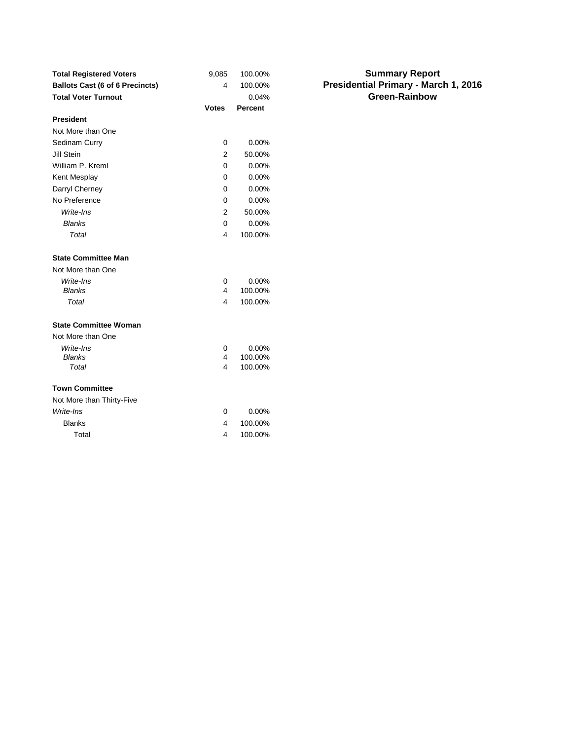| <b>Total Registered Voters</b>         | 9,085        | 100.00%        | <b>Summary Report</b>                |
|----------------------------------------|--------------|----------------|--------------------------------------|
| <b>Ballots Cast (6 of 6 Precincts)</b> | 4            | 100.00%        | Presidential Primary - March 1, 2016 |
| <b>Total Voter Turnout</b>             |              | 0.04%          | <b>Green-Rainbow</b>                 |
|                                        | <b>Votes</b> | <b>Percent</b> |                                      |
| <b>President</b>                       |              |                |                                      |
| Not More than One                      |              |                |                                      |
| Sedinam Curry                          | $\mathbf 0$  | 0.00%          |                                      |
| Jill Stein                             | 2            | 50.00%         |                                      |
| William P. Kreml                       | 0            | 0.00%          |                                      |
| Kent Mesplay                           | 0            | 0.00%          |                                      |
| Darryl Cherney                         | 0            | 0.00%          |                                      |
| No Preference                          | 0            | 0.00%          |                                      |
| Write-Ins                              | 2            | 50.00%         |                                      |
| <b>Blanks</b>                          | $\mathbf 0$  | 0.00%          |                                      |
| Total                                  | 4            | 100.00%        |                                      |
| <b>State Committee Man</b>             |              |                |                                      |
| Not More than One                      |              |                |                                      |
| Write-Ins                              | $\mathbf 0$  | 0.00%          |                                      |
| <b>Blanks</b>                          | 4            | 100.00%        |                                      |
| Total                                  | 4            | 100.00%        |                                      |
| <b>State Committee Woman</b>           |              |                |                                      |
| Not More than One                      |              |                |                                      |
| Write-Ins                              | $\mathbf 0$  | 0.00%          |                                      |
| <b>Blanks</b>                          | 4            | 100.00%        |                                      |
| Total                                  | 4            | 100.00%        |                                      |
| <b>Town Committee</b>                  |              |                |                                      |
| Not More than Thirty-Five              |              |                |                                      |
| Write-Ins                              | 0            | 0.00%          |                                      |
| <b>Blanks</b>                          | 4            | 100.00%        |                                      |
| Total                                  | 4            | 100.00%        |                                      |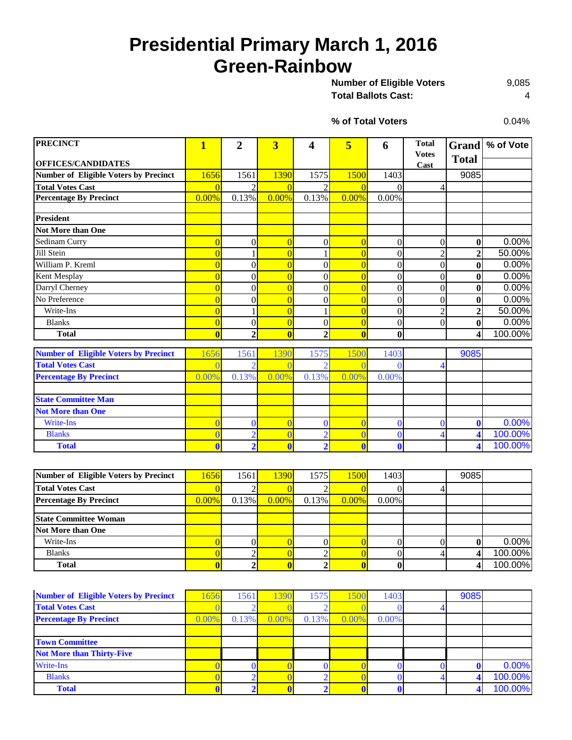# **Presidential Primary March 1, 2016 Green-Rainbow**

9,085 **Total Ballots Cast:** 4 **Number of Eligible Voters** 

0.04%

**% of Total Voters**

| <b>PRECINCT</b>                              | 1                       | $\overline{2}$           | $\overline{\mathbf{3}}$ | 4                | 5              | 6                | <b>Total</b>     | <b>Grand</b>   | % of Vote |
|----------------------------------------------|-------------------------|--------------------------|-------------------------|------------------|----------------|------------------|------------------|----------------|-----------|
|                                              |                         |                          |                         |                  |                |                  | <b>Votes</b>     | <b>Total</b>   |           |
| <b>OFFICES/CANDIDATES</b>                    |                         |                          |                         |                  |                |                  | Cast             |                |           |
| <b>Number of Eligible Voters by Precinct</b> | 1656                    | 1561                     | 1390                    | 1575             | 1500           | 1403             |                  | 9085           |           |
| <b>Total Votes Cast</b>                      | $\Omega$                | $\mathfrak{D}$           | $\overline{0}$          | $\mathfrak{D}$   | $\overline{0}$ | $\Omega$         | 4                |                |           |
| <b>Percentage By Precinct</b>                | 0.00%                   | 0.13%                    | 0.00%                   | 0.13%            | 0.00%          | 0.00%            |                  |                |           |
|                                              |                         |                          |                         |                  |                |                  |                  |                |           |
| <b>President</b>                             |                         |                          |                         |                  |                |                  |                  |                |           |
| <b>Not More than One</b>                     |                         |                          |                         |                  |                |                  |                  |                |           |
| Sedinam Curry                                | $\overline{0}$          | $\Omega$                 | $\overline{0}$          | $\theta$         | $\overline{0}$ | $\theta$         | $\theta$         | $\bf{0}$       | 0.00%     |
| Jill Stein                                   |                         |                          | $\overline{0}$          |                  | $\overline{0}$ | $\boldsymbol{0}$ | $\overline{2}$   | 2              | 50.00%    |
| William P. Kreml                             | $\overline{0}$          | $\Omega$                 | $\overline{0}$          | $\theta$         | $\overline{C}$ | $\theta$         | $\overline{0}$   | $\bf{0}$       | 0.00%     |
| Kent Mesplay                                 |                         | $\boldsymbol{0}$         | $\overline{0}$          | $\theta$         | $\overline{0}$ | $\theta$         | $\boldsymbol{0}$ | $\bf{0}$       | 0.00%     |
| Darryl Cherney                               |                         | $\theta$                 | $\overline{0}$          | $\theta$         | $\overline{C}$ | $\theta$         | $\mathbf{0}$     | $\mathbf{0}$   | 0.00%     |
| No Preference                                |                         | $\boldsymbol{0}$         | $\overline{0}$          | $\boldsymbol{0}$ | $\overline{C}$ | $\boldsymbol{0}$ | $\mathbf{0}$     | $\bf{0}$       | 0.00%     |
| Write-Ins                                    | $\overline{0}$          |                          | $\overline{0}$          |                  | $\overline{0}$ | $\overline{0}$   | $\overline{2}$   | $\overline{2}$ | 50.00%    |
| <b>Blanks</b>                                | $\overline{0}$          | $\boldsymbol{0}$         | $\overline{0}$          | $\overline{0}$   | $\overline{0}$ | $\overline{0}$   | $\theta$         | $\bf{0}$       | 0.00%     |
| <b>Total</b>                                 | $\overline{\mathbf{0}}$ | $\overline{2}$           | $\overline{0}$          | $\overline{2}$   | $\overline{0}$ | $\mathbf{0}$     |                  | 4              | 100.00%   |
|                                              |                         |                          |                         |                  |                |                  |                  |                |           |
| <b>Number of Eligible Voters by Precinct</b> | 1656                    | 1561                     | 1390                    | 1575             | 1500           | 1403             |                  | 9085           |           |
| <b>Total Votes Cast</b>                      |                         | $\overline{\mathcal{L}}$ |                         |                  |                | 0                |                  |                |           |
| <b>Percentage By Precinct</b>                | 0.00%                   | 0.13%                    | 0.00%                   | 0.13%            | 0.00%          | 0.00%            |                  |                |           |
|                                              |                         |                          |                         |                  |                |                  |                  |                |           |
| <b>State Committee Man</b>                   |                         |                          |                         |                  |                |                  |                  |                |           |
| <b>Not More than One</b>                     |                         |                          |                         |                  |                |                  |                  |                |           |
| <b>Write-Ins</b>                             | $\Omega$                | $\mathbf{0}$             | $\overline{0}$          | $\mathbf{0}$     | $\overline{C}$ | $\mathbf{0}$     | 0                | $\mathbf{0}$   | 0.00%     |
| <b>Blanks</b>                                |                         | $\overline{2}$           | $\overline{0}$          | $\overline{2}$   |                | $\bf{0}$         |                  | 4              | 100.00%   |
| <b>Total</b>                                 | $\mathbf{0}$            | $\overline{2}$           | $\mathbf{0}$            | $\overline{2}$   | $\overline{0}$ | $\mathbf 0$      |                  |                | 100.00%   |

| Number of Eligible Voters by Precinct | 1656     | 1561     | 1390     | 1575     | 1500     | 1403     | 9085 |         |
|---------------------------------------|----------|----------|----------|----------|----------|----------|------|---------|
| <b>Total Votes Cast</b>               |          |          |          |          |          |          |      |         |
| <b>Percentage By Precinct</b>         | $0.00\%$ | $0.13\%$ | $0.00\%$ | $0.13\%$ | $0.00\%$ | $0.00\%$ |      |         |
|                                       |          |          |          |          |          |          |      |         |
| <b>State Committee Woman</b>          |          |          |          |          |          |          |      |         |
| Not More than One                     |          |          |          |          |          |          |      |         |
| Write-Ins                             |          |          |          |          |          |          |      | 0.00%   |
| <b>Blanks</b>                         |          |          |          |          |          |          |      | 100.00% |
| <b>Total</b>                          |          |          |          |          |          |          |      | 100.00% |

| <b>Number of Eligible Voters by Precinct</b> | 656      | 1561  | 390      | 1575  | 1500  | 1403  | 9085 |         |
|----------------------------------------------|----------|-------|----------|-------|-------|-------|------|---------|
| <b>Total Votes Cast</b>                      |          |       |          |       |       |       |      |         |
| <b>Percentage By Precinct</b>                | $0.00\%$ | 0.13% | $0.00\%$ | 0.13% | 0.00% | 0.00% |      |         |
|                                              |          |       |          |       |       |       |      |         |
| <b>Town Committee</b>                        |          |       |          |       |       |       |      |         |
| <b>Not More than Thirty-Five</b>             |          |       |          |       |       |       |      |         |
| <b>Write-Ins</b>                             |          |       |          |       |       |       |      | 0.00%   |
| <b>Blanks</b>                                |          |       |          |       |       |       |      | 100.00% |
| <b>Total</b>                                 |          |       |          |       |       |       |      | 100.00% |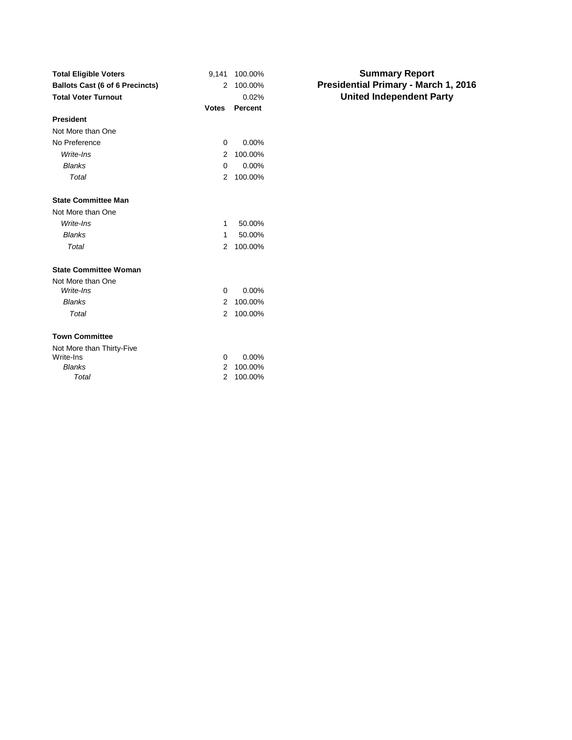| <b>Total Eligible Voters</b>           | 9,141        | 100.00%  |                  |
|----------------------------------------|--------------|----------|------------------|
| <b>Ballots Cast (6 of 6 Precincts)</b> | 2            | 100.00%  | <b>President</b> |
| <b>Total Voter Turnout</b>             |              | 0.02%    | Unit             |
|                                        | <b>Votes</b> | Percent  |                  |
| <b>President</b>                       |              |          |                  |
| Not More than One                      |              |          |                  |
| No Preference                          | 0            | $0.00\%$ |                  |
| Write-Ins                              | 2            | 100.00%  |                  |
| <b>Blanks</b>                          | 0            | 0.00%    |                  |
| Total                                  | 2            | 100.00%  |                  |
| <b>State Committee Man</b>             |              |          |                  |
| Not More than One                      |              |          |                  |
| Write-Ins                              | 1            | 50.00%   |                  |
| <b>Blanks</b>                          | 1            | 50.00%   |                  |
| Total                                  | 2            | 100.00%  |                  |
| <b>State Committee Woman</b>           |              |          |                  |
| Not More than One                      |              |          |                  |
| Write-Ins                              | 0            | 0.00%    |                  |
| <b>Blanks</b>                          | 2            | 100.00%  |                  |
| Total                                  | 2            | 100.00%  |                  |
| <b>Town Committee</b>                  |              |          |                  |
| Not More than Thirty-Five              |              |          |                  |
| Write-Ins                              | 0            | 0.00%    |                  |
| <b>Blanks</b>                          | 2            | 100.00%  |                  |
| Total                                  | 2            | 100.00%  |                  |
|                                        |              |          |                  |

#### **Summary Report Presidential Primary - March 1, 2016 United Independent Party**